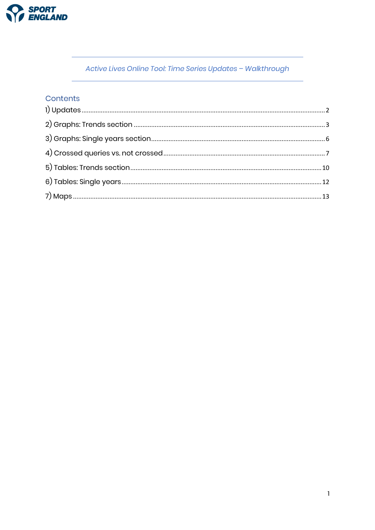

Active Lives Online Tool: Time Series Updates - Walkthrough

### Contents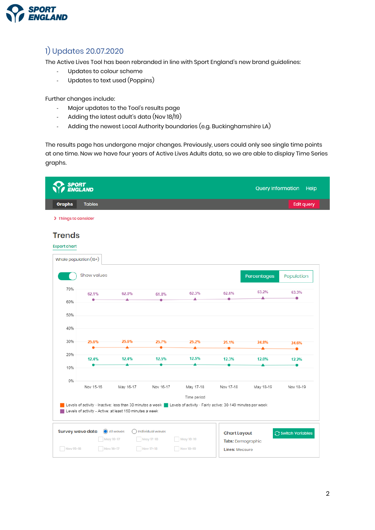

## <span id="page-1-0"></span>1) Updates 20.07.2020

The Active Lives Tool has been rebranded in line with Sport England's new brand guidelines:

- Updates to colour scheme
- Updates to text used (Poppins)

Further changes include:

- Major updates to the Tool's results page
- Adding the latest adult's data (Nov 18/19)
- Adding the newest Local Authority boundaries (e.g. Buckinghamshire LA)

The results page has undergone major changes. Previously, users could only see single time points at one time. Now we have four years of Active Lives Adults data, so we are able to display Time Series graphs.

| <b>SPORT</b>            | <b>ENGLAND</b>         |                                                          |                     |                                                                                                                                         |                     | <b>Query Information</b> | Help             |
|-------------------------|------------------------|----------------------------------------------------------|---------------------|-----------------------------------------------------------------------------------------------------------------------------------------|---------------------|--------------------------|------------------|
| <b>Graphs</b>           | <b>Tables</b>          |                                                          |                     |                                                                                                                                         |                     |                          | Edit query       |
| > Things to consider    |                        |                                                          |                     |                                                                                                                                         |                     |                          |                  |
| <b>Trends</b>           |                        |                                                          |                     |                                                                                                                                         |                     |                          |                  |
| <b>Export chart</b>     |                        |                                                          |                     |                                                                                                                                         |                     |                          |                  |
|                         | Whole population (16+) |                                                          |                     |                                                                                                                                         |                     |                          |                  |
|                         | Show values            |                                                          |                     |                                                                                                                                         |                     | Percentages              | Population       |
| 70%                     | 62.1%                  | 62.0%                                                    | 61.8%               | 62.3%                                                                                                                                   | 62.6%               | 63.2%                    | 63.3%            |
| 60%                     |                        |                                                          |                     |                                                                                                                                         |                     | ▲                        | ٠                |
| 50%                     |                        |                                                          |                     |                                                                                                                                         |                     |                          |                  |
| 40%                     |                        |                                                          |                     |                                                                                                                                         |                     |                          |                  |
| 30%                     | 25.6%                  | 25.6%                                                    | 25.7%               | 25.2%                                                                                                                                   | 25.1%               | 24.8%                    | 24.6%            |
| 20%                     |                        |                                                          |                     |                                                                                                                                         |                     |                          |                  |
|                         | 12.4%                  | 12.4%                                                    | 12.5%               | 12.5%                                                                                                                                   | 12.3%               | 12.0%                    | 12.2%            |
| 10%                     |                        |                                                          |                     |                                                                                                                                         |                     |                          |                  |
| 0%                      |                        |                                                          |                     |                                                                                                                                         |                     |                          |                  |
|                         | Nov 15-16              | May 16-17                                                | Nov 16-17           | May 17-18                                                                                                                               | Nov 17-18           | May 18-19                | Nov 18-19        |
|                         |                        |                                                          |                     | Time period<br>Levels of activity - Inactive: less than 30 minutes a week   Levels of activity - Fairly active: 30-149 minutes per week |                     |                          |                  |
|                         |                        | Levels of activity - Active: at least 150 minutes a week |                     |                                                                                                                                         |                     |                          |                  |
| <b>Survey wave data</b> |                        | All waves                                                | () Individual waves |                                                                                                                                         | <b>Chart Layout</b> |                          | Switch Variables |
|                         |                        | May 16-17                                                | May 17-18           | May 18-19                                                                                                                               | Tabs: Demographic   |                          |                  |
| Nov 15-16               | Nov 16-17              |                                                          | Nov 17-18           | Nov 18-19                                                                                                                               | Lines: Measure      |                          |                  |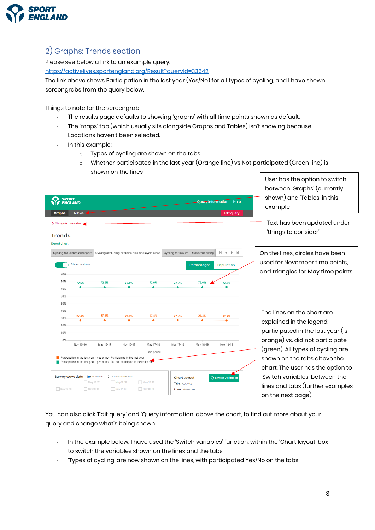

## <span id="page-2-0"></span>2) Graphs: Trends section

Please see below a link to an example query:

<https://activelives.sportengland.org/Result?queryId=33542>

The link above shows Participation in the last year (Yes/No) for all types of cycling, and I have shown screengrabs from the query below.

Things to note for the screengrab:

- The results page defaults to showing 'graphs' with all time points shown as default.
- The 'maps' tab (which usually sits alongside Graphs and Tables) isn't showing because Locations haven't been selected.
- In this example:
	- o Types of cycling are shown on the tabs
	- o Whether participated in the last year (Orange line) vs Not participated (Green line) is shown on the lines  $\mid\,$  User has the option to switch  $\mid\,$

| SPORT<br>ENGLAND<br><b>Query Information</b><br>Help<br><b>Tables</b><br><b>Edit query</b><br><b>Graphs</b>                                                                                                                                                                                                                                                                | between 'Graphs' (currently<br>shown) and 'Tables' in this<br>example                                                                                                                                                                   |
|----------------------------------------------------------------------------------------------------------------------------------------------------------------------------------------------------------------------------------------------------------------------------------------------------------------------------------------------------------------------------|-----------------------------------------------------------------------------------------------------------------------------------------------------------------------------------------------------------------------------------------|
| > Things to consider<br><b>Trends</b><br><b>Export chart</b>                                                                                                                                                                                                                                                                                                               | Text has been updated under<br>'things to consider'                                                                                                                                                                                     |
| Cycling for leisure and sport Cycling excluding exercise bike and cycle class<br>М<br>Cycling for leisure   Mountain biking<br>$\blacktriangleleft$<br><b>Show values</b><br>Population<br>Percentages<br>90%<br>80%<br>72.6%<br>72.5%<br>72.6%<br>72.8%<br>72.6%<br>72.6%<br>72.5%<br>70%<br>60%<br>50%                                                                   | On the lines, circles have been<br>used for November time points,<br>and triangles for May time points.                                                                                                                                 |
| 40%<br>27.5%<br>27.4%<br>27.4%<br>27.4%<br>27.4%<br>27.5%<br>27.2%<br>30%<br>20%<br>10%<br>0%<br>Nov 15-16<br>May 16-17<br>Nov 16-17<br>May 17-18<br>Nov 17-18<br>May 18-19<br>Nov 18-19<br>Time period<br>Participation in the last year - yes or no - Participated in the last year<br>Participation in the last year - yes or no - Did not participate in the last year | The lines on the chart are<br>explained in the legend:<br>participated in the last year (is<br>orange) vs. did not participate<br>(green). All types of cycling are<br>shown on the tabs above the<br>chart. The user has the option to |
| all waves<br><b>Survey wave data</b><br>ndividual waves<br>Switch Variables<br><b>Chart Layout</b><br>May 18-19<br>May 17-18<br>May 16-17<br><b>Tabs: Activity</b><br>Nov 15-16<br>Nov 16-17<br>Nov 17-18<br>Nov 18-19<br><b>Lines: Measure</b>                                                                                                                            | 'Switch variables' between the<br>lines and tabs (further examples<br>on the next page).                                                                                                                                                |

You can also click 'Edit query' and 'Query information' above the chart, to find out more about your query and change what's being shown.

- In the example below, I have used the 'Switch variables' function, within the 'Chart layout' box to switch the variables shown on the lines and the tabs.
- 'Types of cycling' are now shown on the lines, with participated Yes/No on the tabs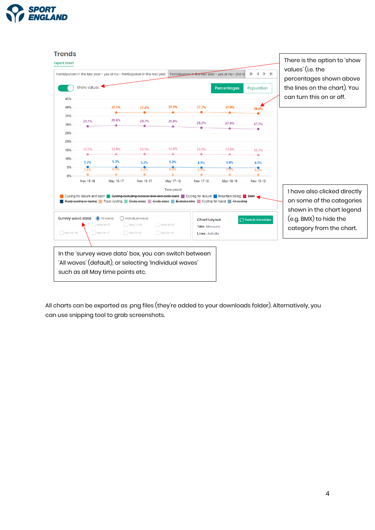



All charts can be exported as .png files (they're added to your downloads folder). Alternatively, you can use snipping tool to grab screenshots.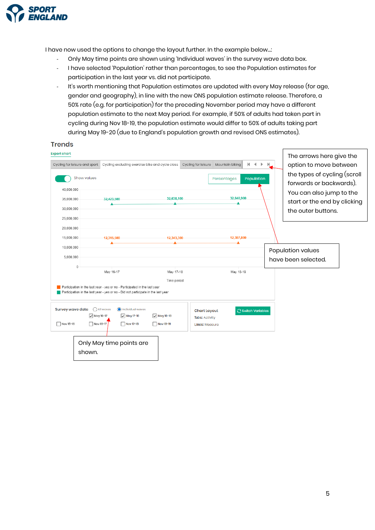

**Trends** 

I have now used the options to change the layout further. In the example below…:

- Only May time points are shown using 'Individual waves' in the survey wave data box.
- I have selected 'Population' rather than percentages, to see the Population estimates for participation in the last year vs. did not participate.
- It's worth mentioning that Population estimates are updated with every May release (for age, gender and geography), in line with the new ONS population estimate release. Therefore, a 50% rate (e.g. for participation) for the preceding November period may have a different population estimate to the next May period. For example, if 50% of adults had taken part in cycling during Nov 18-19, the population estimate would differ to 50% of adults taking part during May 19-20 (due to England's population growth and revised ONS estimates).

| <b>Export chart</b><br>Cycling for leisure and sport<br>Show values<br>40,000,000 | Cycling excluding exercise bike and cycle class                                                                                                                              | Cycling for leisure                                                                                | м<br>$\blacktriangleleft$<br>Mountain biking<br>$\mathbb{R}$<br>Population<br>Percentages | The arrows here give the<br>option to move between<br>$\mathbb{H}$<br>the types of cycling (scroll<br>forwards or backwards). |
|-----------------------------------------------------------------------------------|------------------------------------------------------------------------------------------------------------------------------------------------------------------------------|----------------------------------------------------------------------------------------------------|-------------------------------------------------------------------------------------------|-------------------------------------------------------------------------------------------------------------------------------|
| 35,000,000<br>30,000,000<br>25,000,000                                            | 32,423,500                                                                                                                                                                   | 32,638,100                                                                                         | 32,840,900                                                                                | You can also jump to the<br>start or the end by clicking<br>the outer buttons.                                                |
| 20,000,000<br>15,000,000<br>10,000,000<br>5,000,000                               | 12,315,500                                                                                                                                                                   | 12,343,300                                                                                         | 12,387,800                                                                                | Population values<br>have been selected.                                                                                      |
| $\theta$                                                                          | May 16-17<br>Participation in the last year - yes or no - Participated in the last year<br>Participation in the last year - yes or no - Did not participate in the last year | May 17-18<br>Time period                                                                           | May 18-19                                                                                 |                                                                                                                               |
| <b>Survey wave data</b><br>Nov 15-16<br>shown.                                    | All waves<br>ndividual waves<br>$\sqrt{$ May 16-17<br>$\sqrt{$ May 17-18<br>Nov 16-17<br>Nov 17-18<br>Only May time points are                                               | <b>Chart Layout</b><br>$\sqrt{M}$ ay 18-19<br><b>Tabs: Activity</b><br>Nov 18-19<br>Lines: Measure | Switch Variables                                                                          |                                                                                                                               |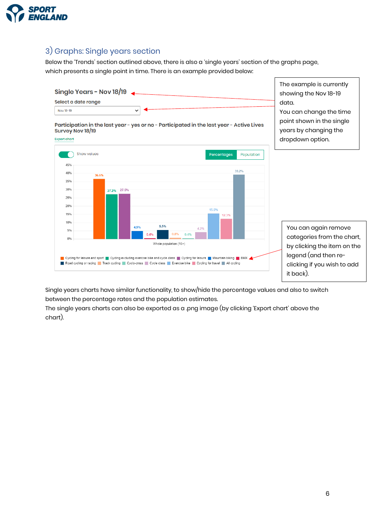

## <span id="page-5-0"></span>3) Graphs: Single years section

25% 20%

15%

10%

5%

 $0%$ 

Below the 'Trends' section outlined above, there is also a 'single years' section of the graphs page, which presents a single point in time. There is an example provided below:



15.5%

 $4.2%$ 

12.3%

Road cycling or racing Track cycling Cyclo-cross Cycle class Exercise bike Cycling for travel All cycling clicking if you wish to add it back).

5.5%

Whole population (16+)

4.9%

 $0.4%$ 

Cycling for leisure and sport Cycling excluding exercise bike and cycle class Cycling for leisure Mountain biking CHMX

Single years charts have similar functionality, to show/hide the percentage values and also to switch between the percentage rates and the population estimates.

0.4% በ ደ%

The single years charts can also be exported as a .png image (by clicking 'Export chart' above the chart).

You can again remove categories from the chart, by clicking the item on the legend (and then re-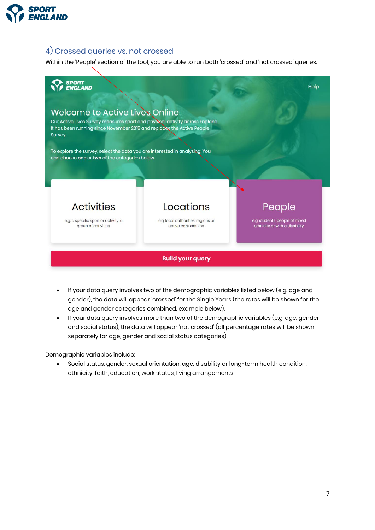

### <span id="page-6-0"></span>4) Crossed queries vs. not crossed

Within the 'People' section of the tool, you are able to run both 'crossed' and 'not crossed' queries.



- If your data query involves two of the demographic variables listed below (e.g. age and gender), the data will appear 'crossed' for the Single Years (the rates will be shown for the age and gender categories combined, example below).
- If your data query involves more than two of the demographic variables (e.g. age, gender and social status), the data will appear 'not crossed' (all percentage rates will be shown separately for age, gender and social status categories).

Demographic variables include:

• Social status, gender, sexual orientation, age, disability or long-term health condition, ethnicity, faith, education, work status, living arrangements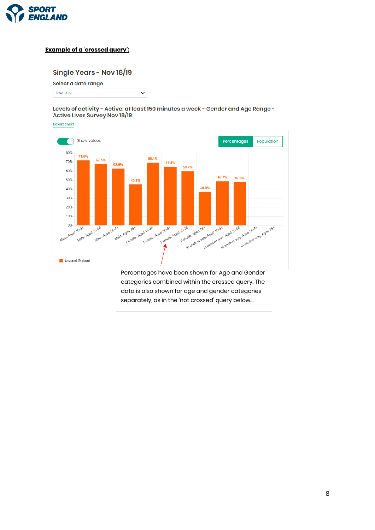

### **Example of a 'crossed query':**

### Single Years - Nov 18/19

### Select a date range

Nov 18-19

Levels of activity - Active: at least 150 minutes a week - Gender and Age Range -Active Lives Survey Nov 18/19

 $\checkmark$ 

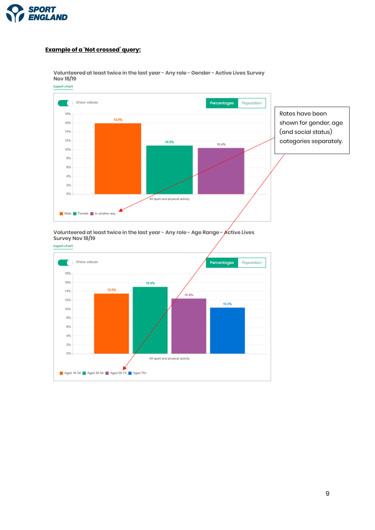

### **Example of a 'Not crossed' query:**



Volunteered at least twice in the last year - Any role - Gender - Active Lives Survey Nov 18/19 **Export chart** 

#### Volunteered at least twice in the last year - Any role - Age Range - Active Lives Survey Nov 18/19

**Export chart** 

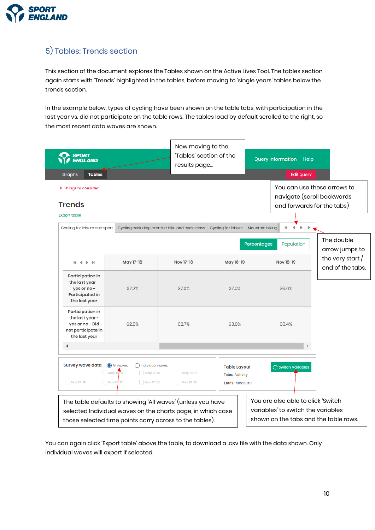

## <span id="page-9-0"></span>5) Tables: Trends section

This section of the document explores the Tables shown on the Active Lives Tool. The tables section again starts with 'Trends' highlighted in the tables, before moving to 'single years' tables below the trends section.

In the example below, types of cycling have been shown on the table tabs, with participation in the last year vs. did not participate on the table rows. The tables load by default scrolled to the right, so the most recent data waves are shown.

| <b>SPORT</b><br>ENGLAND                                                                       |                                                                                                                                                                                      | Now moving to the<br>'Tables' section of the<br>results page |                                                                       | <b>Query Information</b><br>Help                                                                                  |
|-----------------------------------------------------------------------------------------------|--------------------------------------------------------------------------------------------------------------------------------------------------------------------------------------|--------------------------------------------------------------|-----------------------------------------------------------------------|-------------------------------------------------------------------------------------------------------------------|
| <b>Tables</b><br>Graphs                                                                       |                                                                                                                                                                                      |                                                              |                                                                       | <b>Edit query</b>                                                                                                 |
| > Things to consider<br><b>Trends</b><br><b>Export table</b>                                  |                                                                                                                                                                                      |                                                              |                                                                       | You can use these arrows to<br>navigate (scroll backwards<br>and forwards for the tabs)                           |
| Cycling for leisure and sport                                                                 | Cycling excluding exercise bike and cycle class                                                                                                                                      |                                                              | Cycling for leisure                                                   | И<br>Mountain biking<br>Ы                                                                                         |
|                                                                                               |                                                                                                                                                                                      |                                                              |                                                                       | The double<br><b>Percentages</b><br>Population<br>arrow jumps to                                                  |
| $M \leftarrow M$                                                                              | May 17-18                                                                                                                                                                            | Nov 17-18                                                    | May 18-19                                                             | the very start $/$<br>Nov 18-19<br>end of the tabs.                                                               |
| Participation in<br>the last year -<br>yes or no-<br>Participated in<br>the last year         | 37.2%                                                                                                                                                                                | 37.3%                                                        | 37.0%                                                                 | 36.6%                                                                                                             |
| Participation in<br>the last year -<br>yes or no - Did<br>not participate in<br>the last year | 62.8%                                                                                                                                                                                | 62.7%                                                        | 63.0%                                                                 | 63.4%                                                                                                             |
| $\blacktriangleleft$                                                                          |                                                                                                                                                                                      |                                                              |                                                                       | Ъ.                                                                                                                |
| Survey wave data<br>Nov 15-16                                                                 | All waves<br>ndividual waves<br>May 16/17<br>May 17-18<br>Nov 16-17<br>Nov 17-18                                                                                                     | May 18-19<br>Nov 18-19                                       | <b>Table Layout</b><br><b>Tabs: Activity</b><br><b>Lines: Measure</b> | Switch Variables                                                                                                  |
|                                                                                               | The table defaults to showing 'All waves' (unless you have<br>selected Individual waves on the charts page, in which case<br>those selected time points carry across to the tables). |                                                              |                                                                       | You are also able to click 'Switch<br>variables' to switch the variables<br>shown on the tabs and the table rows. |

You can again click 'Export table' above the table, to download a .csv file with the data shown. Only individual waves will export if selected.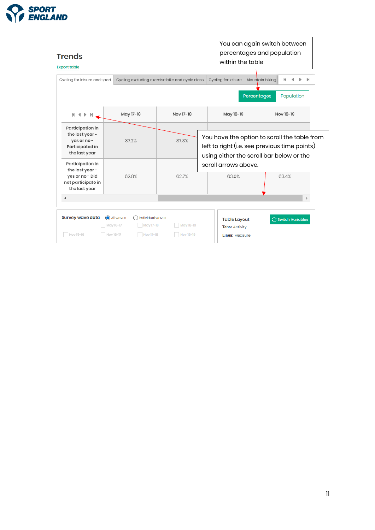

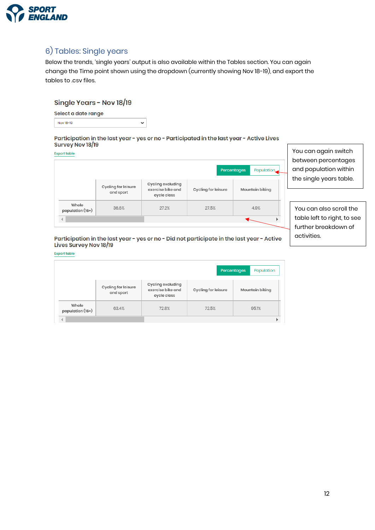

## <span id="page-11-0"></span>6) Tables: Single years

Below the trends, 'single years' output is also available within the Tables section. You can again change the Time point shown using the dropdown (currently showing Nov 18-19), and export the tables to .csv files.

### Single Years - Nov 18/19

| Select a date range |
|---------------------|
| Nov 18-19           |

#### Participation in the last year - yes or no - Participated in the last year - Active Lives Survey Nov 18/19

 $\ddot{\phantom{0}}$ 

**Export table** 

|                           |                                  |                                                       |                     | Percentages<br>Population |
|---------------------------|----------------------------------|-------------------------------------------------------|---------------------|---------------------------|
|                           | Cycling for leisure<br>and sport | Cycling excluding<br>exercise bike and<br>cycle class | Cycling for leisure | Mountain biking           |
| Whole<br>population (16+) | 36.6%                            | 27.2%                                                 | 27.5%               | 4.9%                      |
|                           |                                  |                                                       |                     |                           |

You can again switch between percentages and population within the single years table.

You can also scroll the table left to right, to see further breakdown of activities.

### Participation in the last year - yes or no - Did not participate in the last year - Active Lives Survey Nov 18/19

#### **Export table**

|                           |                                  |                                                       |                            | Population<br>Percentages |
|---------------------------|----------------------------------|-------------------------------------------------------|----------------------------|---------------------------|
|                           | Cycling for leisure<br>and sport | Cycling excluding<br>exercise bike and<br>cycle class | <b>Cycling for leisure</b> | Mountain biking           |
| Whole<br>population (16+) | 63.4%                            | 72.8%                                                 | 72.5%                      | 95.1%                     |
|                           |                                  |                                                       |                            |                           |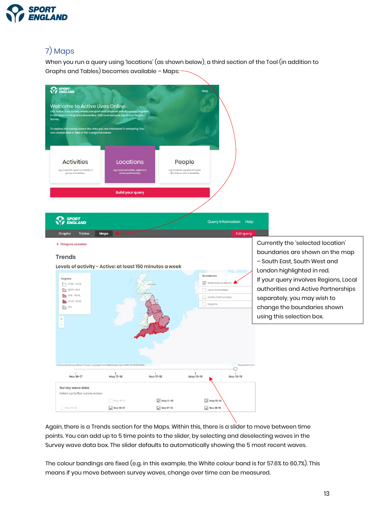

## <span id="page-12-0"></span>7) Maps

When you run a query using 'locations' (as shown below), a third section of the Tool (in addition to Graphs and Tables) becomes available – Maps:



Again, there is a Trends section for the Maps. Within this, there is a slider to move between time points. You can add up to 5 time points to the slider, by selecting and deselecting waves in the Survey wave data box. The slider defaults to automatically showing the 5 most recent waves.

The colour bandings are fixed (e.g. in this example, the White colour band is for 57.6% to 60.7%). This means if you move between survey waves, change over time can be measured.